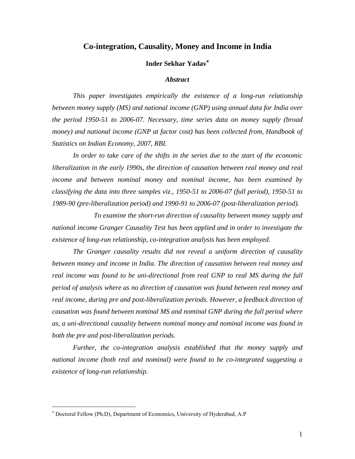## **Co-integration, Causality, Money and Income in India**

#### **Inder Sekhar Yadav**

#### *Abstract*

*This paper investigates empirically the existence of a long-run relationship between money supply (MS) and national income (GNP) using annual data for India over the period 1950-51 to 2006-07. Necessary, time series data on money supply (broad money) and national income (GNP at factor cost) has been collected from, Handbook of Statistics on Indian Economy*, *2007, RBI.*

*In order to take care of the shifts in the series due to the start of the economic liberalization in the early 1990s, the direction of causation between real money and real income and between nominal money and nominal income, has been examined by classifying the data into three samples viz., 1950-51 to 2006-07 (full period), 1950-51 to 1989-90 (pre-liberalization period) and 1990-91 to 2006-07 (post-liberalization period).*

*To examine the short-run direction of causality between money supply and national income Granger Causality Test has been applied and in order to investigate the existence of long-run relationship, co-integration analysis has been employed.* 

*The Granger causality results did not reveal a uniform direction of causality between money and income in India. The direction of causation between real money and*  real income was found to be uni-directional from real GNP to real MS during the full *period of analysis where as no direction of causation was found between real money and real income, during pre and post-liberalization periods. However, a feedback direction of causation was found between nominal MS and nominal GNP during the full period where as, a uni-directional causality between nominal money and nominal income was found in both the pre and post-liberalization periods.*

*Further, the co-integration analysis established that the money supply and national income (both real and nominal) were found to be co-integrated suggesting a existence of long-run relationship.*

 $\overline{a}$ 

 Doctoral Fellow (Ph.D), Department of Economics, University of Hyderabad, A.P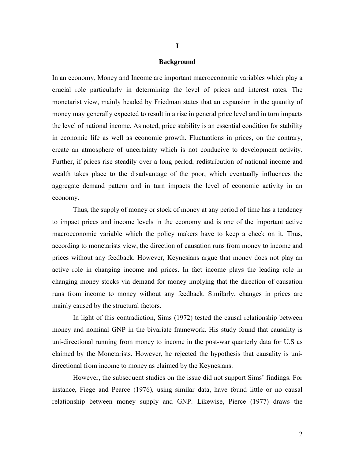#### **Background**

In an economy, Money and Income are important macroeconomic variables which play a crucial role particularly in determining the level of prices and interest rates. The monetarist view, mainly headed by Friedman states that an expansion in the quantity of money may generally expected to result in a rise in general price level and in turn impacts the level of national income. As noted, price stability is an essential condition for stability in economic life as well as economic growth. Fluctuations in prices, on the contrary, create an atmosphere of uncertainty which is not conducive to development activity. Further, if prices rise steadily over a long period, redistribution of national income and wealth takes place to the disadvantage of the poor, which eventually influences the aggregate demand pattern and in turn impacts the level of economic activity in an economy.

Thus, the supply of money or stock of money at any period of time has a tendency to impact prices and income levels in the economy and is one of the important active macroeconomic variable which the policy makers have to keep a check on it. Thus, according to monetarists view, the direction of causation runs from money to income and prices without any feedback. However, Keynesians argue that money does not play an active role in changing income and prices. In fact income plays the leading role in changing money stocks via demand for money implying that the direction of causation runs from income to money without any feedback. Similarly, changes in prices are mainly caused by the structural factors.

In light of this contradiction, Sims (1972) tested the causal relationship between money and nominal GNP in the bivariate framework. His study found that causality is uni-directional running from money to income in the post-war quarterly data for U.S as claimed by the Monetarists. However, he rejected the hypothesis that causality is unidirectional from income to money as claimed by the Keynesians.

However, the subsequent studies on the issue did not support Sims' findings. For instance, Fiege and Pearce (1976), using similar data, have found little or no causal relationship between money supply and GNP. Likewise, Pierce (1977) draws the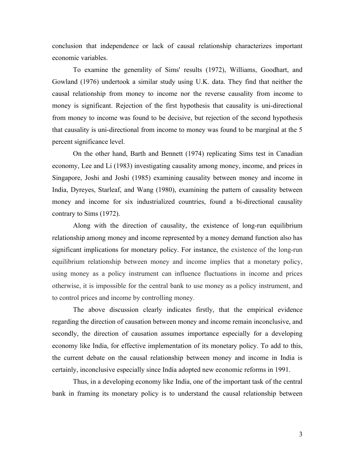conclusion that independence or lack of causal relationship characterizes important economic variables.

To examine the generality of Sims' results (1972), Williams, Goodhart, and Gowland (1976) undertook a similar study using U.K. data. They find that neither the causal relationship from money to income nor the reverse causality from income to money is significant. Rejection of the first hypothesis that causality is uni-directional from money to income was found to be decisive, but rejection of the second hypothesis that causality is uni-directional from income to money was found to be marginal at the 5 percent significance level.

On the other hand, Barth and Bennett (1974) replicating Sims test in Canadian economy, Lee and Li (1983) investigating causality among money, income, and prices in Singapore, Joshi and Joshi (1985) examining causality between money and income in India, Dyreyes, Starleaf, and Wang (1980), examining the pattern of causality between money and income for six industrialized countries, found a bi-directional causality contrary to Sims (1972).

Along with the direction of causality, the existence of long-run equilibrium relationship among money and income represented by a money demand function also has significant implications for monetary policy. For instance, the existence of the long-run equilibrium relationship between money and income implies that a monetary policy, using money as a policy instrument can influence fluctuations in income and prices otherwise, it is impossible for the central bank to use money as a policy instrument, and to control prices and income by controlling money.

The above discussion clearly indicates firstly, that the empirical evidence regarding the direction of causation between money and income remain inconclusive, and secondly, the direction of causation assumes importance especially for a developing economy like India, for effective implementation of its monetary policy. To add to this, the current debate on the causal relationship between money and income in India is certainly, inconclusive especially since India adopted new economic reforms in 1991.

Thus, in a developing economy like India, one of the important task of the central bank in framing its monetary policy is to understand the causal relationship between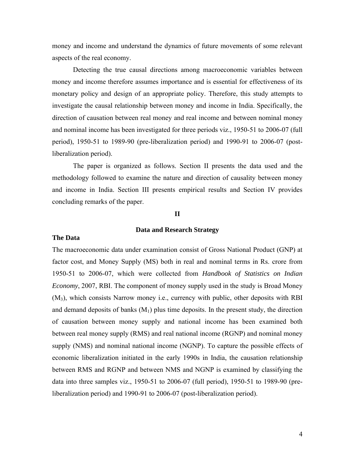money and income and understand the dynamics of future movements of some relevant aspects of the real economy.

Detecting the true causal directions among macroeconomic variables between money and income therefore assumes importance and is essential for effectiveness of its monetary policy and design of an appropriate policy. Therefore, this study attempts to investigate the causal relationship between money and income in India. Specifically, the direction of causation between real money and real income and between nominal money and nominal income has been investigated for three periods viz., 1950-51 to 2006-07 (full period), 1950-51 to 1989-90 (pre-liberalization period) and 1990-91 to 2006-07 (postliberalization period).

The paper is organized as follows. Section II presents the data used and the methodology followed to examine the nature and direction of causality between money and income in India. Section III presents empirical results and Section IV provides concluding remarks of the paper.

## **II**

## **Data and Research Strategy**

#### **The Data**

The macroeconomic data under examination consist of Gross National Product (GNP) at factor cost, and Money Supply (MS) both in real and nominal terms in Rs. crore from 1950-51 to 2006-07, which were collected from *Handbook of Statistics on Indian Economy*, 2007, RBI. The component of money supply used in the study is Broad Money (M3), which consists Narrow money i.e., currency with public, other deposits with RBI and demand deposits of banks  $(M_1)$  plus time deposits. In the present study, the direction of causation between money supply and national income has been examined both between real money supply (RMS) and real national income (RGNP) and nominal money supply (NMS) and nominal national income (NGNP). To capture the possible effects of economic liberalization initiated in the early 1990s in India, the causation relationship between RMS and RGNP and between NMS and NGNP is examined by classifying the data into three samples viz., 1950-51 to 2006-07 (full period), 1950-51 to 1989-90 (preliberalization period) and 1990-91 to 2006-07 (post-liberalization period).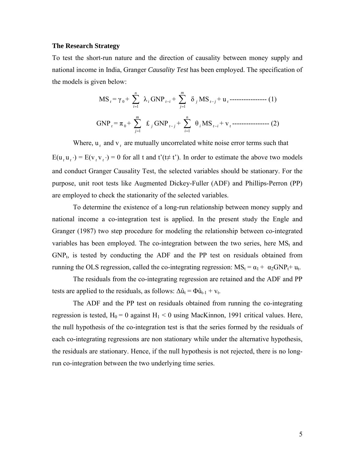#### **The Research Strategy**

To test the short-run nature and the direction of causality between money supply and national income in India, Granger *Causality Test* has been employed. The specification of the models is given below:

$$
\text{MS}_{t} = \gamma_{0} + \sum_{i=1}^{n} \lambda_{i} \text{GNP}_{t-i} + \sum_{j=1}^{m} \delta_{j} \text{MS}_{t-j} + \mathbf{u}_{t}
$$
-----(1)  
 
$$
\text{GNP}_{t} = \pi_{0} + \sum_{j=1}^{m} \mathbf{\pounds}_{j} \text{GNP}_{t-j} + \sum_{i=1}^{n} \theta_{i} \text{MS}_{t-i} + \mathbf{v}_{t}
$$
-----(2)

Where,  $u_t$  and  $v_t$ , are mutually uncorrelated white noise error terms such that  $E(u_t u_t) = E(v_t v_t) = 0$  for all t and t'(t≠ t'). In order to estimate the above two models and conduct Granger Causality Test, the selected variables should be stationary. For the purpose, unit root tests like Augmented Dickey-Fuller (ADF) and Phillips-Perron (PP) are employed to check the stationarity of the selected variables.

To determine the existence of a long-run relationship between money supply and national income a co-integration test is applied. In the present study the Engle and Granger (1987) two step procedure for modeling the relationship between co-integrated variables has been employed. The co-integration between the two series, here  $MS<sub>t</sub>$  and  $GNP_t$ , is tested by conducting the ADF and the PP test on residuals obtained from running the OLS regression, called the co-integrating regression:  $MS_t = \alpha_1 + \alpha_2 GNP_t + u_t$ .

The residuals from the co-integrating regression are retained and the ADF and PP tests are applied to the residuals, as follows:  $\Delta \hat{u}_t = \Phi \hat{u}_{t-1} + v_t$ .

The ADF and the PP test on residuals obtained from running the co-integrating regression is tested,  $H_0 = 0$  against  $H_1 < 0$  using MacKinnon, 1991 critical values. Here, the null hypothesis of the co-integration test is that the series formed by the residuals of each co-integrating regressions are non stationary while under the alternative hypothesis, the residuals are stationary. Hence, if the null hypothesis is not rejected, there is no longrun co-integration between the two underlying time series.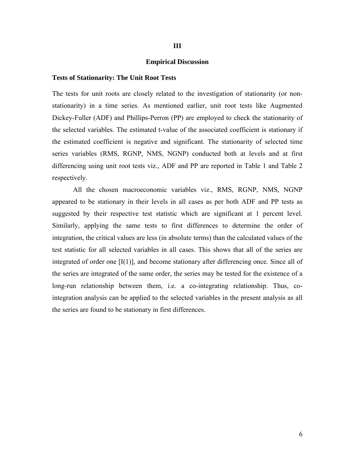#### **Empirical Discussion**

#### **Tests of Stationarity: The Unit Root Tests**

The tests for unit roots are closely related to the investigation of stationarity (or nonstationarity) in a time series. As mentioned earlier, unit root tests like Augmented Dickey-Fuller (ADF) and Phillips-Perron (PP) are employed to check the stationarity of the selected variables. The estimated t-value of the associated coefficient is stationary if the estimated coefficient is negative and significant. The stationarity of selected time series variables (RMS, RGNP, NMS, NGNP) conducted both at levels and at first differencing using unit root tests viz., ADF and PP are reported in Table 1 and Table 2 respectively.

All the chosen macroeconomic variables viz., RMS, RGNP, NMS, NGNP appeared to be stationary in their levels in all cases as per both ADF and PP tests as suggested by their respective test statistic which are significant at 1 percent level. Similarly, applying the same tests to first differences to determine the order of integration, the critical values are less (in absolute terms) than the calculated values of the test statistic for all selected variables in all cases. This shows that all of the series are integrated of order one  $[I(1)]$ , and become stationary after differencing once. Since all of the series are integrated of the same order, the series may be tested for the existence of a long-run relationship between them, i.e. a co-integrating relationship. Thus, cointegration analysis can be applied to the selected variables in the present analysis as all the series are found to be stationary in first differences.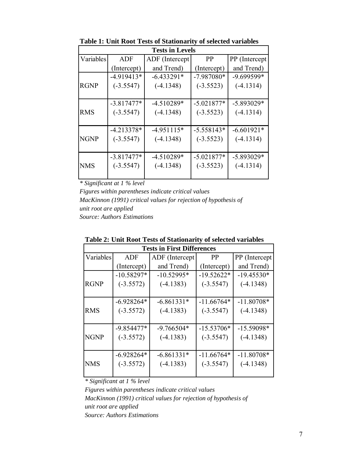| <b>Tests in Levels</b> |              |                 |              |               |  |  |
|------------------------|--------------|-----------------|--------------|---------------|--|--|
| Variables              | ADF          | ADF (Intercept) | <b>PP</b>    | PP (Intercept |  |  |
|                        | (Intercept)  | and Trend)      | (Intercept)  | and Trend)    |  |  |
|                        | $-4.919413*$ | $-6.433291*$    | $-7.987080*$ | $-9.699599*$  |  |  |
| <b>RGNP</b>            | $(-3.5547)$  | $(-4.1348)$     | $(-3.5523)$  | $(-4.1314)$   |  |  |
|                        |              |                 |              |               |  |  |
|                        | $-3.817477*$ | $-4.510289*$    | $-5.021877*$ | $-5.893029*$  |  |  |
| <b>RMS</b>             | $(-3.5547)$  | $(-4.1348)$     | $(-3.5523)$  | $(-4.1314)$   |  |  |
|                        |              |                 |              |               |  |  |
|                        | $-4.213378*$ | $-4.951115*$    | $-5.558143*$ | $-6.601921*$  |  |  |
| <b>NGNP</b>            | $(-3.5547)$  | $(-4.1348)$     | $(-3.5523)$  | $(-4.1314)$   |  |  |
|                        |              |                 |              |               |  |  |
|                        | $-3.817477*$ | $-4.510289*$    | $-5.021877*$ | $-5.893029*$  |  |  |
| <b>NMS</b>             | $(-3.5547)$  | $(-4.1348)$     | $(-3.5523)$  | $(-4.1314)$   |  |  |
|                        |              |                 |              |               |  |  |

**Table 1: Unit Root Tests of Stationarity of selected variables**

*\* Significant at 1 % level*

*Figures within parentheses indicate critical values Source: Authors Estimations MacKinnon (1991) critical values for rejection of hypothesis of unit root are applied*

| <b>Tests in First Differences</b> |              |                             |              |                |  |  |
|-----------------------------------|--------------|-----------------------------|--------------|----------------|--|--|
| Variables                         | ADF          | ADF (Intercept<br><b>PP</b> |              | PP (Intercept) |  |  |
|                                   | (Intercept)  | and Trend)                  | (Intercept)  | and Trend)     |  |  |
|                                   | $-10.58297*$ | $-10.52995*$                | $-19.52622*$ | $-19.45530*$   |  |  |
| <b>RGNP</b>                       | $(-3.5572)$  | $(-4.1383)$                 | $(-3.5547)$  | $(-4.1348)$    |  |  |
|                                   |              |                             |              |                |  |  |
|                                   | $-6.928264*$ | $-6.861331*$                | $-11.66764*$ | $-11.80708*$   |  |  |
| <b>RMS</b>                        | $(-3.5572)$  | $(-4.1383)$                 | $(-3.5547)$  | $(-4.1348)$    |  |  |
|                                   |              |                             |              |                |  |  |
|                                   | $-9.854477*$ | $-9.766504*$                | $-15.53706*$ | $-15.59098*$   |  |  |
| <b>NGNP</b>                       | $(-3.5572)$  | $(-4.1383)$                 | $(-3.5547)$  | $(-4.1348)$    |  |  |
|                                   |              |                             |              |                |  |  |
|                                   | $-6.928264*$ | $-6.861331*$                | $-11.66764*$ | $-11.80708*$   |  |  |
| <b>NMS</b>                        | $(-3.5572)$  | $(-4.1383)$                 | $(-3.5547)$  | $(-4.1348)$    |  |  |
|                                   |              |                             |              |                |  |  |

| Table 2: Unit Root Tests of Stationarity of selected variables |  |  |  |  |  |
|----------------------------------------------------------------|--|--|--|--|--|
|                                                                |  |  |  |  |  |

*\* Significant at 1 % level*

*unit root are applied Source: Authors Estimations Figures within parentheses indicate critical values MacKinnon (1991) critical values for rejection of hypothesis of*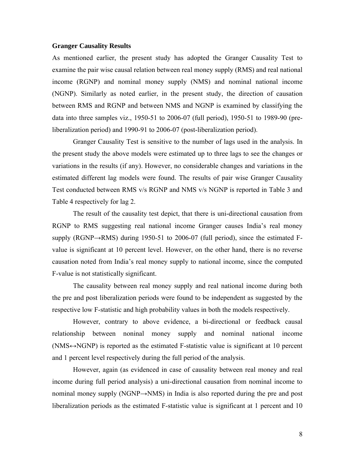#### **Granger Causality Results**

As mentioned earlier, the present study has adopted the Granger Causality Test to examine the pair wise causal relation between real money supply (RMS) and real national income (RGNP) and nominal money supply (NMS) and nominal national income (NGNP). Similarly as noted earlier, in the present study, the direction of causation between RMS and RGNP and between NMS and NGNP is examined by classifying the data into three samples viz., 1950-51 to 2006-07 (full period), 1950-51 to 1989-90 (preliberalization period) and 1990-91 to 2006-07 (post-liberalization period).

Granger Causality Test is sensitive to the number of lags used in the analysis. In the present study the above models were estimated up to three lags to see the changes or variations in the results (if any). However, no considerable changes and variations in the estimated different lag models were found. The results of pair wise Granger Causality Test conducted between RMS v/s RGNP and NMS v/s NGNP is reported in Table 3 and Table 4 respectively for lag 2.

The result of the causality test depict, that there is uni-directional causation from RGNP to RMS suggesting real national income Granger causes India's real money supply (RGNP→RMS) during 1950-51 to 2006-07 (full period), since the estimated Fvalue is significant at 10 percent level. However, on the other hand, there is no reverse causation noted from India's real money supply to national income, since the computed F-value is not statistically significant.

The causality between real money supply and real national income during both the pre and post liberalization periods were found to be independent as suggested by the respective low F-statistic and high probability values in both the models respectively.

However, contrary to above evidence, a bi-directional or feedback causal relationship between noninal money supply and nominal national income  $(NMS \leftrightarrow NGNP)$  is reported as the estimated F-statistic value is significant at 10 percent and 1 percent level respectively during the full period of the analysis.

However, again (as evidenced in case of causality between real money and real income during full period analysis) a uni-directional causation from nominal income to nominal money supply (NGNP→NMS) in India is also reported during the pre and post liberalization periods as the estimated F-statistic value is significant at 1 percent and 10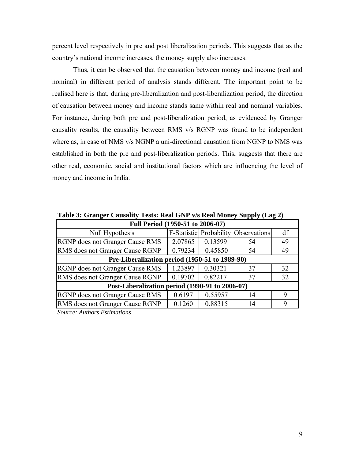percent level respectively in pre and post liberalization periods. This suggests that as the country's national income increases, the money supply also increases.

Thus, it can be observed that the causation between money and income (real and nominal) in different period of analysis stands different. The important point to be realised here is that, during pre-liberalization and post-liberalization period, the direction of causation between money and income stands same within real and nominal variables. For instance, during both pre and post-liberalization period, as evidenced by Granger causality results, the causality between RMS v/s RGNP was found to be independent where as, in case of NMS v/s NGNP a uni-directional causation from NGNP to NMS was established in both the pre and post-liberalization periods. This, suggests that there are other real, economic, social and institutional factors which are influencing the level of money and income in India.

| Full Period (1950-51 to 2006-07)                |         |         |                                      |    |  |  |
|-------------------------------------------------|---------|---------|--------------------------------------|----|--|--|
| Null Hypothesis                                 |         |         | F-Statistic Probability Observations | df |  |  |
| RGNP does not Granger Cause RMS                 | 2.07865 | 0.13599 | 54                                   | 49 |  |  |
| RMS does not Granger Cause RGNP                 | 0.79234 | 0.45850 | 54                                   | 49 |  |  |
| Pre-Liberalization period (1950-51 to 1989-90)  |         |         |                                      |    |  |  |
| RGNP does not Granger Cause RMS                 | 1.23897 | 0.30321 | 37                                   | 32 |  |  |
| RMS does not Granger Cause RGNP                 | 0.19702 | 0.82217 | 37                                   | 32 |  |  |
| Post-Liberalization period (1990-91 to 2006-07) |         |         |                                      |    |  |  |
| RGNP does not Granger Cause RMS                 | 0.6197  | 0.55957 | 14                                   | 9  |  |  |
| RMS does not Granger Cause RGNP                 | 0.1260  | 0.88315 | 14                                   | 9  |  |  |

**Table 3: Granger Causality Tests: Real GNP v/s Real Money Supply (Lag 2)**

*Source: Authors Estimations*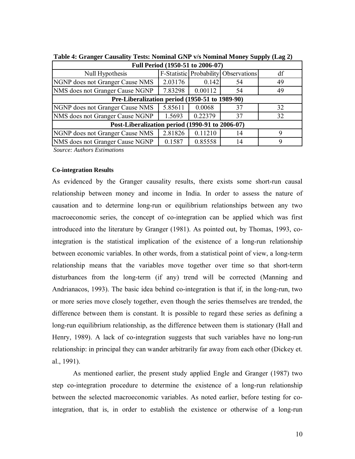| Full Period (1950-51 to 2006-07)                |         |         |                                             |    |  |  |
|-------------------------------------------------|---------|---------|---------------------------------------------|----|--|--|
| Null Hypothesis                                 |         |         | <b>F-Statistic Probability Observations</b> | df |  |  |
| NGNP does not Granger Cause NMS                 | 2.03176 | 0.142   | 54                                          | 49 |  |  |
| NMS does not Granger Cause NGNP                 | 7.83298 | 0.00112 | 54                                          | 49 |  |  |
| Pre-Liberalization period (1950-51 to 1989-90)  |         |         |                                             |    |  |  |
| NGNP does not Granger Cause NMS                 | 5.85611 | 0.0068  | 37                                          | 32 |  |  |
| NMS does not Granger Cause NGNP                 | 1.5693  | 0.22379 | 37                                          | 32 |  |  |
| Post-Liberalization period (1990-91 to 2006-07) |         |         |                                             |    |  |  |
| NGNP does not Granger Cause NMS                 | 2.81826 | 0.11210 | 14                                          | q  |  |  |
| NMS does not Granger Cause NGNP                 | 0.1587  | 0.85558 | 14                                          |    |  |  |
| $\alpha$ and $\alpha$                           |         |         |                                             |    |  |  |

**Table 4: Granger Causality Tests: Nominal GNP v/s Nominal Money Supply (Lag 2)**

*Source: Authors Estimations* 

#### **Co-integration Results**

As evidenced by the Granger causality results, there exists some short-run causal relationship between money and income in India. In order to assess the nature of causation and to determine long-run or equilibrium relationships between any two macroeconomic series, the concept of co-integration can be applied which was first introduced into the literature by Granger (1981). As pointed out, by Thomas, 1993, cointegration is the statistical implication of the existence of a long-run relationship between economic variables. In other words, from a statistical point of view, a long-term relationship means that the variables move together over time so that short-term disturbances from the long-term (if any) trend will be corrected (Manning and Andrianacos, 1993). The basic idea behind co-integration is that if, in the long-run, two or more series move closely together, even though the series themselves are trended, the difference between them is constant. It is possible to regard these series as defining a long-run equilibrium relationship, as the difference between them is stationary (Hall and Henry, 1989). A lack of co-integration suggests that such variables have no long-run relationship: in principal they can wander arbitrarily far away from each other (Dickey et. al., 1991).

As mentioned earlier, the present study applied Engle and Granger (1987) two step co-integration procedure to determine the existence of a long-run relationship between the selected macroeconomic variables. As noted earlier, before testing for cointegration, that is, in order to establish the existence or otherwise of a long-run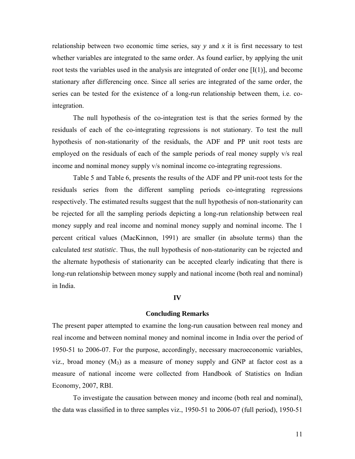relationship between two economic time series, say *y* and *x* it is first necessary to test whether variables are integrated to the same order. As found earlier, by applying the unit root tests the variables used in the analysis are integrated of order one  $[I(1)]$ , and become stationary after differencing once. Since all series are integrated of the same order, the series can be tested for the existence of a long-run relationship between them, i.e. cointegration.

The null hypothesis of the co-integration test is that the series formed by the residuals of each of the co-integrating regressions is not stationary. To test the null hypothesis of non-stationarity of the residuals, the ADF and PP unit root tests are employed on the residuals of each of the sample periods of real money supply v/s real income and nominal money supply v/s nominal income co-integrating regressions.

Table 5 and Table 6, presents the results of the ADF and PP unit-root tests for the residuals series from the different sampling periods co-integrating regressions respectively. The estimated results suggest that the null hypothesis of non-stationarity can be rejected for all the sampling periods depicting a long-run relationship between real money supply and real income and nominal money supply and nominal income. The 1 percent critical values (MacKinnon, 1991) are smaller (in absolute terms) than the calculated *test statistic*. Thus, the null hypothesis of non-stationarity can be rejected and the alternate hypothesis of stationarity can be accepted clearly indicating that there is long-run relationship between money supply and national income (both real and nominal) in India.

#### **IV**

#### **Concluding Remarks**

The present paper attempted to examine the long-run causation between real money and real income and between nominal money and nominal income in India over the period of 1950-51 to 2006-07. For the purpose, accordingly, necessary macroeconomic variables, viz., broad money  $(M_3)$  as a measure of money supply and GNP at factor cost as a measure of national income were collected from Handbook of Statistics on Indian Economy, 2007, RBI.

To investigate the causation between money and income (both real and nominal), the data was classified in to three samples viz., 1950-51 to 2006-07 (full period), 1950-51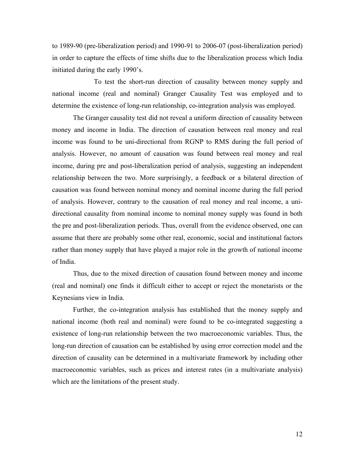to 1989-90 (pre-liberalization period) and 1990-91 to 2006-07 (post-liberalization period) in order to capture the effects of time shifts due to the liberalization process which India initiated during the early 1990's.

To test the short-run direction of causality between money supply and national income (real and nominal) Granger Causality Test was employed and to determine the existence of long-run relationship, co-integration analysis was employed.

The Granger causality test did not reveal a uniform direction of causality between money and income in India. The direction of causation between real money and real income was found to be uni-directional from RGNP to RMS during the full period of analysis. However, no amount of causation was found between real money and real income, during pre and post-liberalization period of analysis, suggesting an independent relationship between the two. More surprisingly, a feedback or a bilateral direction of causation was found between nominal money and nominal income during the full period of analysis. However, contrary to the causation of real money and real income, a unidirectional causality from nominal income to nominal money supply was found in both the pre and post-liberalization periods. Thus, overall from the evidence observed, one can assume that there are probably some other real, economic, social and institutional factors rather than money supply that have played a major role in the growth of national income of India.

Thus, due to the mixed direction of causation found between money and income (real and nominal) one finds it difficult either to accept or reject the monetarists or the Keynesians view in India.

Further, the co-integration analysis has established that the money supply and national income (both real and nominal) were found to be co-integrated suggesting a existence of long-run relationship between the two macroeconomic variables. Thus, the long-run direction of causation can be established by using error correction model and the direction of causality can be determined in a multivariate framework by including other macroeconomic variables, such as prices and interest rates (in a multivariate analysis) which are the limitations of the present study.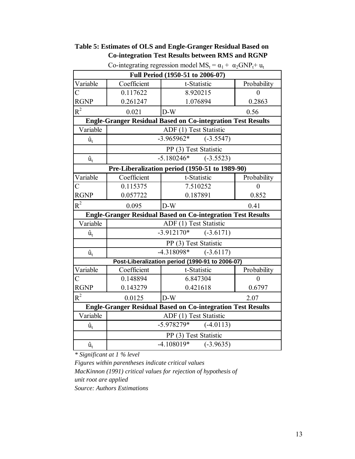| Full Period (1950-51 to 2006-07)                                   |                       |                                                                    |                |  |  |  |
|--------------------------------------------------------------------|-----------------------|--------------------------------------------------------------------|----------------|--|--|--|
| Variable                                                           | Coefficient           | t-Statistic                                                        | Probability    |  |  |  |
| $\overline{C}$                                                     | 0.117622              | 8.920215                                                           | $\theta$       |  |  |  |
| <b>RGNP</b>                                                        | 0.261247              | 1.076894                                                           | 0.2863         |  |  |  |
| $R^2$                                                              | 0.021                 | $D-W$                                                              | 0.56           |  |  |  |
|                                                                    |                       | <b>Engle-Granger Residual Based on Co-integration Test Results</b> |                |  |  |  |
| Variable                                                           |                       | ADF (1) Test Statistic                                             |                |  |  |  |
| $\hat{\mathbf{u}}_{\mathrm{t}}$                                    |                       | $-3.965962*$<br>$(-3.5547)$                                        |                |  |  |  |
|                                                                    |                       | PP (3) Test Statistic                                              |                |  |  |  |
| $\hat{\mathbf{u}}_{\mathrm{t}}$                                    |                       | $-5.180246*$<br>$(-3.5523)$                                        |                |  |  |  |
|                                                                    |                       | Pre-Liberalization period (1950-51 to 1989-90)                     |                |  |  |  |
| Variable                                                           | Coefficient           | t-Statistic                                                        | Probability    |  |  |  |
| $\overline{C}$                                                     | 0.115375              | 7.510252                                                           | $\overline{0}$ |  |  |  |
| <b>RGNP</b>                                                        | 0.057722              | 0.187891                                                           | 0.852          |  |  |  |
| $R^2$                                                              | 0.095                 | $D-W$                                                              | 0.41           |  |  |  |
|                                                                    |                       | <b>Engle-Granger Residual Based on Co-integration Test Results</b> |                |  |  |  |
| Variable                                                           |                       | ADF (1) Test Statistic                                             |                |  |  |  |
| $\hat{\mathbf{u}}_{\rm t}$                                         |                       | $-3.912170*$<br>$(-3.6171)$                                        |                |  |  |  |
|                                                                    |                       | PP (3) Test Statistic                                              |                |  |  |  |
| $\hat{\mathbf{u}}_{\mathrm{t}}$                                    |                       | $-4.318098*$<br>$(-3.6117)$                                        |                |  |  |  |
|                                                                    |                       | Post-Liberalization period (1990-91 to 2006-07)                    |                |  |  |  |
| Variable                                                           | Coefficient           | t-Statistic                                                        | Probability    |  |  |  |
| $\overline{C}$                                                     | 0.148894              | 6.847304                                                           | $\overline{0}$ |  |  |  |
| <b>RGNP</b>                                                        | 0.143279              | 0.421618                                                           | 0.6797         |  |  |  |
| $R^2$                                                              | 0.0125                | $D-W$                                                              | 2.07           |  |  |  |
| <b>Engle-Granger Residual Based on Co-integration Test Results</b> |                       |                                                                    |                |  |  |  |
| Variable                                                           |                       | ADF (1) Test Statistic                                             |                |  |  |  |
| $\hat{u}_t$                                                        |                       | $-5.978279*$<br>$(-4.0113)$                                        |                |  |  |  |
|                                                                    | PP (3) Test Statistic |                                                                    |                |  |  |  |
| $\hat{u}_t$                                                        |                       | $-4.108019*$<br>$(-3.9635)$                                        |                |  |  |  |

# **Table 5: Estimates of OLS and Engle-Granger Residual Based on Co-integration Test Results between RMS and RGNP**

Co-integrating regression model  $MS_t = \alpha_1 + \alpha_2 GNP_t + u_t$ 

*\* Significant at 1 % level*

*Figures within parentheses indicate critical values MacKinnon (1991) critical values for rejection of hypothesis of unit root are applied Source: Authors Estimations*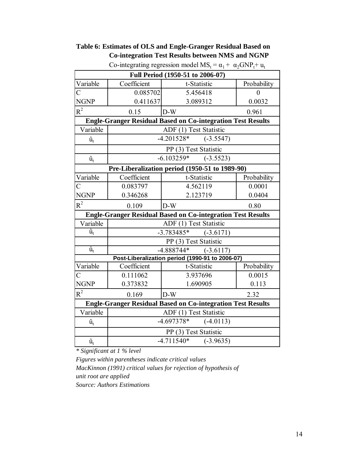| Table 6: Estimates of OLS and Engle-Granger Residual Based on |
|---------------------------------------------------------------|
| <b>Co-integration Test Results between NMS and NGNP</b>       |

| $\frac{1}{2}$                                                      |                                  |                                                                    |             |  |  |  |
|--------------------------------------------------------------------|----------------------------------|--------------------------------------------------------------------|-------------|--|--|--|
|                                                                    | Full Period (1950-51 to 2006-07) |                                                                    |             |  |  |  |
| Variable                                                           | Coefficient                      | t-Statistic                                                        | Probability |  |  |  |
| $\overline{C}$                                                     | 0.085702                         | 5.456418                                                           | $\theta$    |  |  |  |
| <b>NGNP</b>                                                        | 0.411637                         | 3.089312                                                           | 0.0032      |  |  |  |
| $R^2$                                                              | 0.15                             | $D-W$                                                              | 0.961       |  |  |  |
|                                                                    |                                  | <b>Engle-Granger Residual Based on Co-integration Test Results</b> |             |  |  |  |
| Variable                                                           |                                  | ADF (1) Test Statistic                                             |             |  |  |  |
| $\hat{\mathbf{u}}_{\mathrm{t}}$                                    |                                  | $-4.201528*$<br>$(-3.5547)$                                        |             |  |  |  |
|                                                                    |                                  | PP (3) Test Statistic                                              |             |  |  |  |
| $\hat{\mathbf{u}}_{\rm t}$                                         |                                  | $-6.103259*$<br>$(-3.5523)$                                        |             |  |  |  |
|                                                                    |                                  | Pre-Liberalization period (1950-51 to 1989-90)                     |             |  |  |  |
| Variable                                                           | Coefficient                      | t-Statistic                                                        | Probability |  |  |  |
| $\overline{C}$                                                     | 0.083797                         | 4.562119                                                           | 0.0001      |  |  |  |
| <b>NGNP</b>                                                        | 0.346268                         | 2.123719                                                           | 0.0404      |  |  |  |
| $R^2$                                                              | 0.109                            | $D-W$                                                              | 0.80        |  |  |  |
|                                                                    |                                  | <b>Engle-Granger Residual Based on Co-integration Test Results</b> |             |  |  |  |
| Variable                                                           | ADF (1) Test Statistic           |                                                                    |             |  |  |  |
| $\hat{\mathbf{u}}_{\rm t}$                                         | $-3.783485*$<br>$(-3.6171)$      |                                                                    |             |  |  |  |
|                                                                    |                                  | PP (3) Test Statistic                                              |             |  |  |  |
| $\hat{\mathbf{u}}_{\mathrm{t}}$                                    |                                  | $-4.888744*$<br>$(-3.6117)$                                        |             |  |  |  |
|                                                                    |                                  | Post-Liberalization period (1990-91 to 2006-07)                    |             |  |  |  |
| Variable                                                           | Coefficient                      | t-Statistic                                                        | Probability |  |  |  |
| $\overline{C}$                                                     | 0.111062                         | 3.937696                                                           | 0.0015      |  |  |  |
| <b>NGNP</b>                                                        | 0.373832                         | 1.690905                                                           | 0.113       |  |  |  |
| $R^2$                                                              | 0.169                            | $D-W$                                                              | 2.32        |  |  |  |
| <b>Engle-Granger Residual Based on Co-integration Test Results</b> |                                  |                                                                    |             |  |  |  |
| Variable                                                           |                                  | ADF (1) Test Statistic                                             |             |  |  |  |
| $\hat{\mathbf{u}}_{\rm t}$                                         |                                  | $-4.697378*$<br>$(-4.0113)$                                        |             |  |  |  |
|                                                                    |                                  | PP (3) Test Statistic                                              |             |  |  |  |
| $\hat{\mathbf{u}}_{\mathrm{t}}$                                    |                                  | $-4.711540*$ $(-3.9635)$                                           |             |  |  |  |

Co-integrating regression model  $MS_t = \alpha_1 + \alpha_2 GNP_t + u_t$ 

*\* Significant at 1 % level*

*Figures within parentheses indicate critical values MacKinnon (1991) critical values for rejection of hypothesis of unit root are applied Source: Authors Estimations*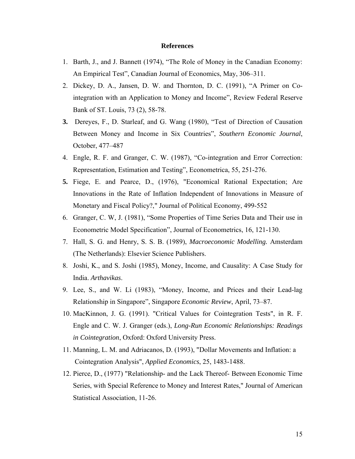#### **References**

- 1. Barth, J., and J. Bannett (1974), "The Role of Money in the Canadian Economy: An Empirical Test", Canadian Journal of Economics, May, 306–311.
- 2. Dickey, D. A., Jansen, D. W. and Thornton, D. C. (1991), "A Primer on Cointegration with an Application to Money and Income", Review Federal Reserve Bank of ST. Louis, 73 (2), 58-78.
- **3.** Dereyes, F., D. Starleaf, and G. Wang (1980), "Test of Direction of Causation Between Money and Income in Six Countries", *Southern Economic Journal*, October, 477–487
- 4. Engle, R. F. and Granger, C. W. (1987), "Co-integration and Error Correction: Representation, Estimation and Testing", Econometrica, 55, 251-276.
- **5.** Fiege, E. and Pearce, D., (1976), "Economical Rational Expectation; Are Innovations in the Rate of Inflation Independent of Innovations in Measure of Monetary and Fiscal Policy?," Journal of Political Economy, 499-552
- 6. Granger, C. W, J. (1981), "Some Properties of Time Series Data and Their use in Econometric Model Specification", Journal of Econometrics, 16, 121-130.
- 7. Hall, S. G. and Henry, S. S. B. (1989), *Macroeconomic Modelling.* Amsterdam (The Netherlands): Elsevier Science Publishers.
- 8. Joshi, K., and S. Joshi (1985), Money, Income, and Causality: A Case Study for India. *Arthavikas*.
- 9. Lee, S., and W. Li (1983), "Money, Income, and Prices and their Lead-lag Relationship in Singapore", Singapore *Economic Review*, April, 73–87.
- 10. MacKinnon, J. G. (1991). "Critical Values for Cointegration Tests", in R. F. Engle and C. W. J. Granger (eds.), *Long-Run Economic Relationships: Readings in Cointegration*, Oxford: Oxford University Press.
- 11. Manning, L. M. and Adriacanos, D. (1993), "Dollar Movements and Inflation: a Cointegration Analysis", *Applied Economics*, 25, 1483-1488.
- 12. Pierce, D., (1977) "Relationship- and the Lack Thereof- Between Economic Time Series, with Special Reference to Money and Interest Rates," Journal of American Statistical Association, 11-26.